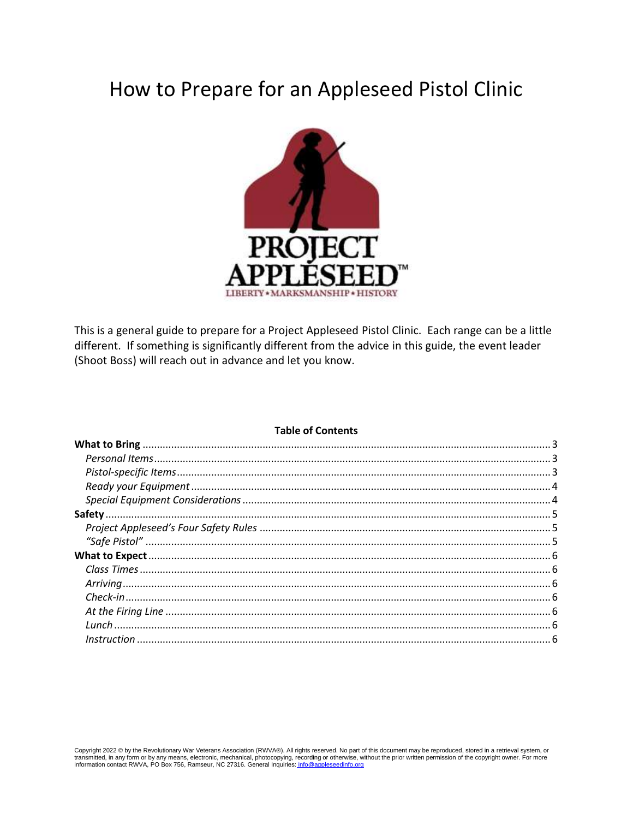# How to Prepare for an Appleseed Pistol Clinic



This is a general guide to prepare for a Project Appleseed Pistol Clinic. Each range can be a little different. If something is significantly different from the advice in this guide, the event leader (Shoot Boss) will reach out in advance and let you know.

#### **Table of Contents**

Copyright 2022 © by the Revolutionary War Veterans Association (RWVA®). All rights reserved. No part of this document may be reproduced, stored in a retrieval system, or transmitted, in any form or by any means, electronic, mechanical, photocopying, recording or otherwise, without the prior written permission of the copyright owner. For more information contact RWVA, PO Box 756, Ramseur, N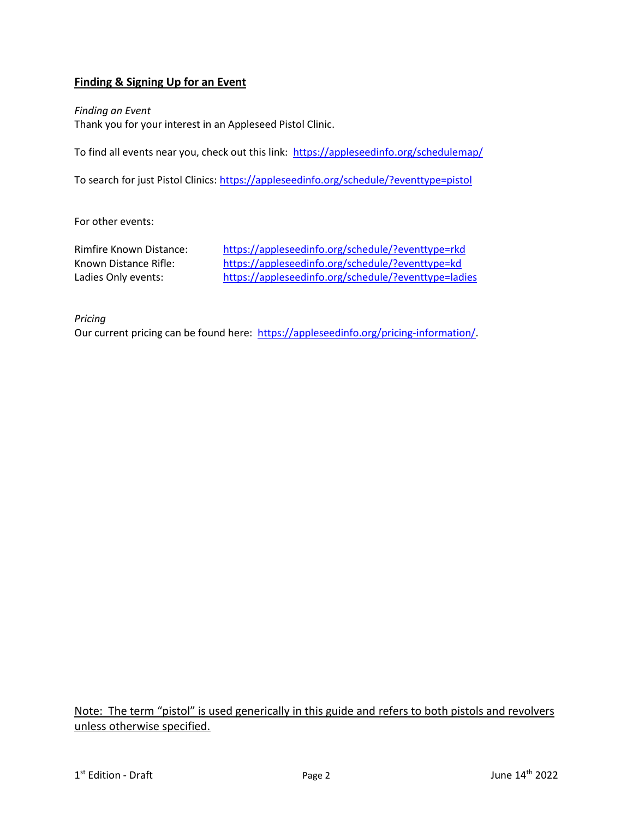# **Finding & Signing Up for an Event**

*Finding an Event* Thank you for your interest in an Appleseed Pistol Clinic.

To find all events near you, check out this link: https://appleseedinfo.org/schedulemap/

To search for just Pistol Clinics:<https://appleseedinfo.org/schedule/?eventtype=pistol>

For other events:

Rimfire Known Distance: <https://appleseedinfo.org/schedule/?eventtype=rkd> Known Distance Rifle: <https://appleseedinfo.org/schedule/?eventtype=kd> Ladies Only events: <https://appleseedinfo.org/schedule/?eventtype=ladies>

*Pricing*

Our current pricing can be found here: [https://appleseedinfo.org/pricing-information/.](https://appleseedinfo.org/pricing-information/)

Note: The term "pistol" is used generically in this guide and refers to both pistols and revolvers unless otherwise specified.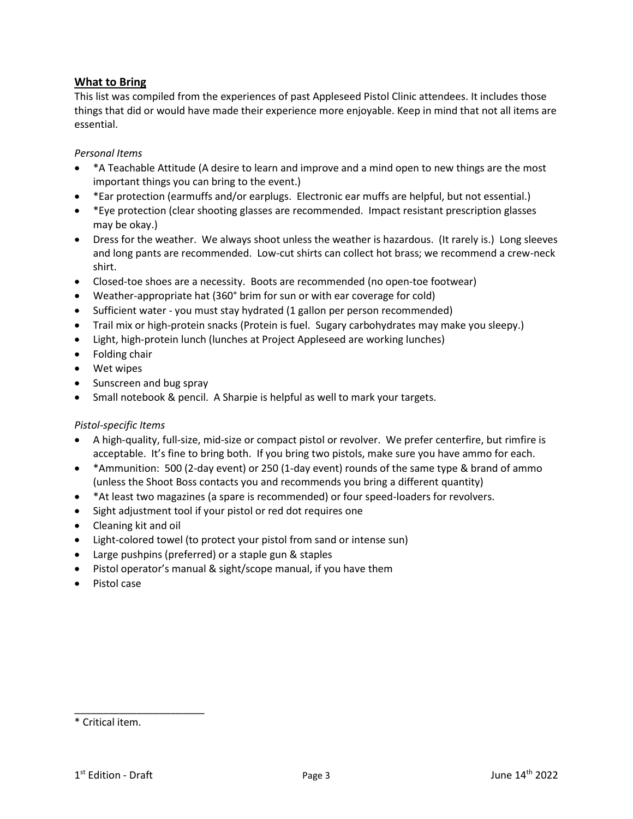# <span id="page-2-0"></span>**What to Bring**

This list was compiled from the experiences of past Appleseed Pistol Clinic attendees. It includes those things that did or would have made their experience more enjoyable. Keep in mind that not all items are essential.

# <span id="page-2-1"></span>*Personal Items*

- \*A Teachable Attitude (A desire to learn and improve and a mind open to new things are the most important things you can bring to the event.)
- \*Ear protection (earmuffs and/or earplugs. Electronic ear muffs are helpful, but not essential.)
- \*Eye protection (clear shooting glasses are recommended. Impact resistant prescription glasses may be okay.)
- Dress for the weather. We always shoot unless the weather is hazardous. (It rarely is.) Long sleeves and long pants are recommended. Low-cut shirts can collect hot brass; we recommend a crew-neck shirt.
- Closed-toe shoes are a necessity. Boots are recommended (no open-toe footwear)
- Weather-appropriate hat (360° brim for sun or with ear coverage for cold)
- Sufficient water you must stay hydrated (1 gallon per person recommended)
- Trail mix or high-protein snacks (Protein is fuel. Sugary carbohydrates may make you sleepy.)
- Light, high-protein lunch (lunches at Project Appleseed are working lunches)
- Folding chair
- Wet wipes
- Sunscreen and bug spray
- Small notebook & pencil. A Sharpie is helpful as well to mark your targets.

## <span id="page-2-2"></span>*Pistol-specific Items*

- A high-quality, full-size, mid-size or compact pistol or revolver. We prefer centerfire, but rimfire is acceptable. It's fine to bring both. If you bring two pistols, make sure you have ammo for each.
- \*Ammunition: 500 (2-day event) or 250 (1-day event) rounds of the same type & brand of ammo (unless the Shoot Boss contacts you and recommends you bring a different quantity)
- \*At least two magazines (a spare is recommended) or four speed-loaders for revolvers.
- Sight adjustment tool if your pistol or red dot requires one
- Cleaning kit and oil
- Light-colored towel (to protect your pistol from sand or intense sun)
- Large pushpins (preferred) or a staple gun & staples
- Pistol operator's manual & sight/scope manual, if you have them
- Pistol case

\_\_\_\_\_\_\_\_\_\_\_\_\_\_\_\_\_\_\_\_\_\_\_

<sup>\*</sup> Critical item.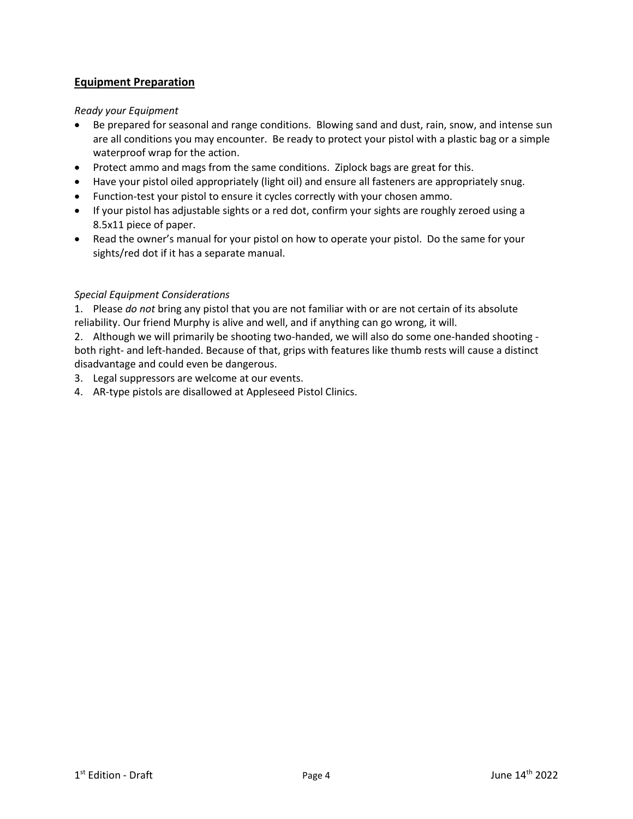# **Equipment Preparation**

## <span id="page-3-0"></span>*Ready your Equipment*

- Be prepared for seasonal and range conditions. Blowing sand and dust, rain, snow, and intense sun are all conditions you may encounter. Be ready to protect your pistol with a plastic bag or a simple waterproof wrap for the action.
- Protect ammo and mags from the same conditions. Ziplock bags are great for this.
- Have your pistol oiled appropriately (light oil) and ensure all fasteners are appropriately snug.
- Function-test your pistol to ensure it cycles correctly with your chosen ammo.
- If your pistol has adjustable sights or a red dot, confirm your sights are roughly zeroed using a 8.5x11 piece of paper.
- Read the owner's manual for your pistol on how to operate your pistol. Do the same for your sights/red dot if it has a separate manual.

## <span id="page-3-1"></span>*Special Equipment Considerations*

1. Please *do not* bring any pistol that you are not familiar with or are not certain of its absolute reliability. Our friend Murphy is alive and well, and if anything can go wrong, it will.

2. Although we will primarily be shooting two-handed, we will also do some one-handed shooting both right- and left-handed. Because of that, grips with features like thumb rests will cause a distinct disadvantage and could even be dangerous.

- 3. Legal suppressors are welcome at our events.
- 4. AR-type pistols are disallowed at Appleseed Pistol Clinics.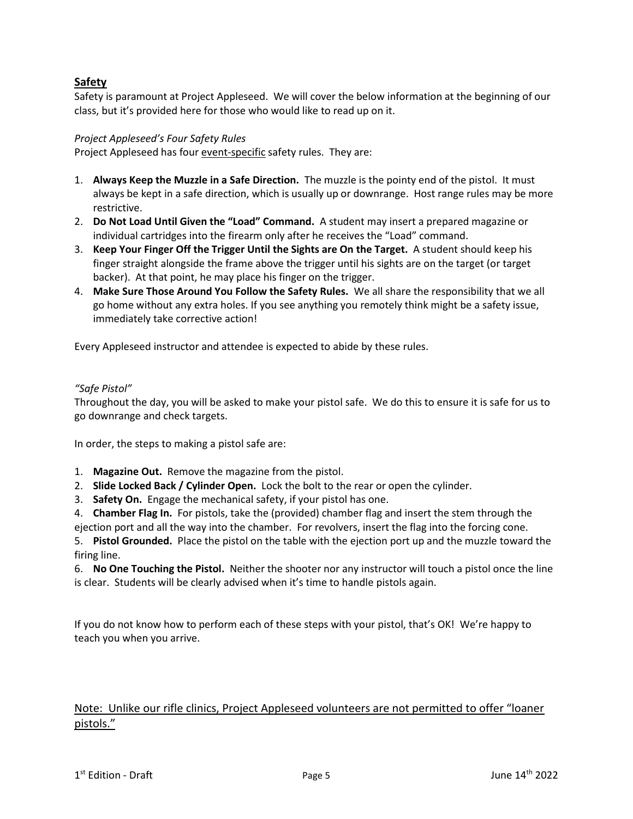# <span id="page-4-0"></span>**Safety**

Safety is paramount at Project Appleseed. We will cover the below information at the beginning of our class, but it's provided here for those who would like to read up on it.

## <span id="page-4-1"></span>*Project Appleseed's Four Safety Rules*

Project Appleseed has four event-specific safety rules. They are:

- 1. **Always Keep the Muzzle in a Safe Direction.** The muzzle is the pointy end of the pistol. It must always be kept in a safe direction, which is usually up or downrange. Host range rules may be more restrictive.
- 2. **Do Not Load Until Given the "Load" Command.** A student may insert a prepared magazine or individual cartridges into the firearm only after he receives the "Load" command.
- 3. **Keep Your Finger Off the Trigger Until the Sights are On the Target.** A student should keep his finger straight alongside the frame above the trigger until his sights are on the target (or target backer). At that point, he may place his finger on the trigger.
- 4. **Make Sure Those Around You Follow the Safety Rules.** We all share the responsibility that we all go home without any extra holes. If you see anything you remotely think might be a safety issue, immediately take corrective action!

Every Appleseed instructor and attendee is expected to abide by these rules.

## <span id="page-4-2"></span>*"Safe Pistol"*

Throughout the day, you will be asked to make your pistol safe. We do this to ensure it is safe for us to go downrange and check targets.

In order, the steps to making a pistol safe are:

- 1. **Magazine Out.** Remove the magazine from the pistol.
- 2. **Slide Locked Back / Cylinder Open.** Lock the bolt to the rear or open the cylinder.
- 3. **Safety On.** Engage the mechanical safety, if your pistol has one.
- 4. **Chamber Flag In.** For pistols, take the (provided) chamber flag and insert the stem through the ejection port and all the way into the chamber. For revolvers, insert the flag into the forcing cone.

5. **Pistol Grounded.** Place the pistol on the table with the ejection port up and the muzzle toward the firing line.

6. **No One Touching the Pistol.** Neither the shooter nor any instructor will touch a pistol once the line is clear. Students will be clearly advised when it's time to handle pistols again.

If you do not know how to perform each of these steps with your pistol, that's OK! We're happy to teach you when you arrive.

# Note: Unlike our rifle clinics, Project Appleseed volunteers are not permitted to offer "loaner pistols."